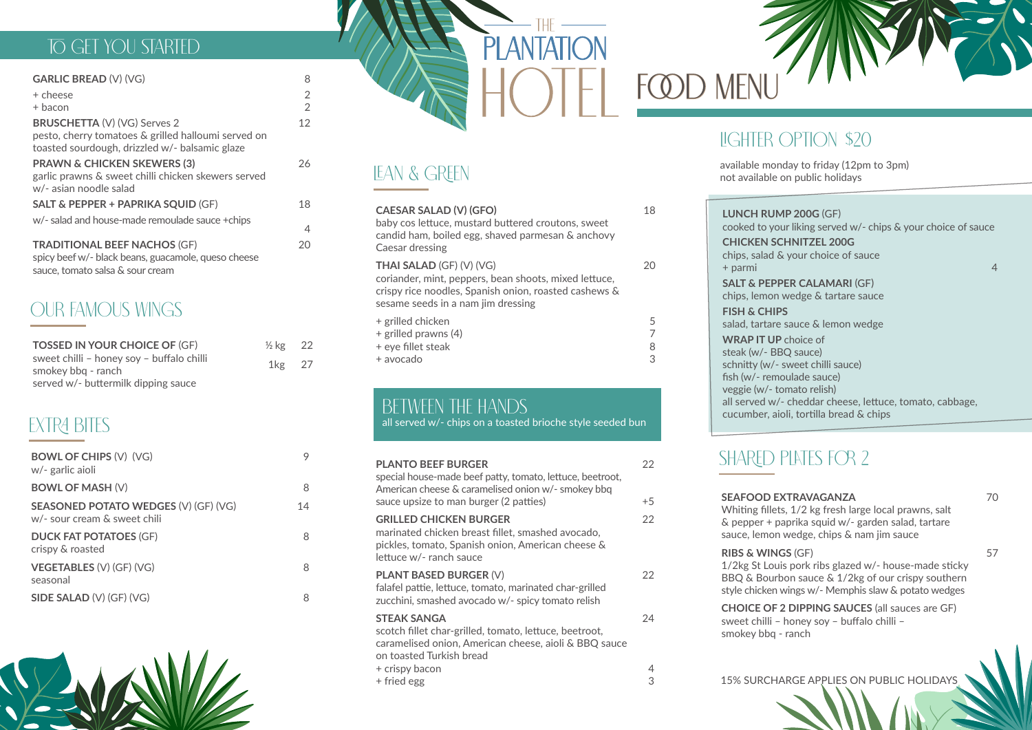15% SURCHARGE APPLIES ON PUBLIC HOLIDAYS

### TO GET YOU STARTED

### BETWEEN THE HANDS

all served w/- chips on a toasted brioche style seeded bun

# OUR FAMOUS WINGS

2 2

#### **GARLIC BREAD** (V) (VG) 8 + cheese + bacon **BRUSCHETTA** (V) (VG) Serves 2 pesto, cherry tomatoes & grilled halloumi served on toasted sourdough, drizzled w/- balsamic glaze 12 **PRAWN & CHICKEN SKEWERS (3)** garlic prawns & sweet chilli chicken skewers served w/- asian noodle salad 26 **SALT & PEPPER + PAPRIKA SOUID (GF)** w/- salad and house-made remoulade sauce +chips 18 **TRADITIONAL BEEF NACHOS** (GF) spicy beef w/- black beans, guacamole, queso cheese sauce, tomato salsa & sour cream 20

4

| <b>PLANTO BEEF BURGER</b><br>special house-made beef patty, tomato, lettuce, beetroot,<br>American cheese & caramelised onion w/- smokey bbq<br>sauce upsize to man burger (2 patties) | 22<br>$+5$ |
|----------------------------------------------------------------------------------------------------------------------------------------------------------------------------------------|------------|
|                                                                                                                                                                                        |            |
| <b>GRILLED CHICKEN BURGER</b><br>marinated chicken breast fillet, smashed avocado,<br>pickles, tomato, Spanish onion, American cheese &<br>lettuce w/- ranch sauce                     | 22         |
| <b>PLANT BASED BURGER (V)</b><br>falafel pattie, lettuce, tomato, marinated char-grilled<br>zucchini, smashed avocado w/- spicy tomato relish                                          | 22         |
| <b>STEAK SANGA</b><br>scotch fillet char-grilled, tomato, lettuce, beetroot,<br>caramelised onion, American cheese, aioli & BBQ sauce<br>on toasted Turkish bread                      | 24         |
| + crispy bacon                                                                                                                                                                         |            |
| + fried egg                                                                                                                                                                            |            |

# FCOD MENU

**RIBS & WINGS** (GF)

**SALT & PEPPER CALAMARI (GF)** chips, lemon wedge & tartare sauce **FISH & CHIPS** salad, tartare sauce & lemon wedge **WRAP IT UP** choice of steak (w/- BBQ sauce) schnitty (w/- sweet chilli sauce) fish (w/- remoulade sauce) veggie (w/- tomato relish) all served w/- cheddar cheese, lettuce, tomato, cabbage, cucumber, aioli, tortilla bread & chips

#### **SEAFOOD EXTRAVAGANZA** Whiting fillets, 1/2 kg fresh large local prawns, salt & pepper + paprika squid w/- garden salad, tartare sauce, lemon wedge, chips & nam jim sauce 70 1/2kg St Louis pork ribs glazed w/- house-made sticky BBQ & Bourbon sauce & 1/2kg of our crispy southern style chicken wings w/- Memphis slaw & potato wedges **CHOICE OF 2 DIPPING SAUCES** (all sauces are GF) sweet chilli – honey soy – buffalo chilli – smokey bbq - ranch 57

| <b>TOSSED IN YOUR CHOICE OF (GF)</b>                            | $\frac{1}{2}$ kg 22 |  |
|-----------------------------------------------------------------|---------------------|--|
| sweet chilli - honey soy - buffalo chilli<br>smokey bbg - ranch | $1\text{kg}$ 27     |  |
| served w/- buttermilk dipping sauce                             |                     |  |

# **EXTRA BITES**



| <b>CAESAR SALAD (V) (GFO)</b><br>baby cos lettuce, mustard buttered croutons, sweet<br>candid ham, boiled egg, shaved parmesan & anchovy<br>Caesar dressing                             | 18          |
|-----------------------------------------------------------------------------------------------------------------------------------------------------------------------------------------|-------------|
| <b>THAI SALAD (GF) (V) (VG)</b><br>coriander, mint, peppers, bean shoots, mixed lettuce,<br>crispy rice noodles, Spanish onion, roasted cashews &<br>sesame seeds in a nam jim dressing |             |
| + grilled chicken<br>+ grilled prawns (4)<br>+ eye fillet steak<br>+ avocado                                                                                                            | 5<br>8<br>З |

| <b>BOWL OF CHIPS (V) (VG)</b><br>w/- garlic aioli                           |    |
|-----------------------------------------------------------------------------|----|
| <b>BOWL OF MASH (V)</b>                                                     | 8  |
| <b>SEASONED POTATO WEDGES (V) (GF) (VG)</b><br>w/- sour cream & sweet chili | 14 |
| <b>DUCK FAT POTATOES (GF)</b><br>crispy & roasted                           | 8  |
| <b>VEGETABLES (V) (GF) (VG)</b><br>seasonal                                 | 8  |
| SIDE SALAD (V) (GF) (VG)                                                    |    |



## LIGHTER OPTION \$20

**LUNCH RUMP 200G** (GF) cooked to your liking served w/- chips & your choice of sauce

**CHICKEN SCHNITZEL 200G** + parmi 4

chips, salad & your choice of sauce

# SHARED PLATES FOR 2

available monday to friday (12pm to 3pm) not available on public holidays